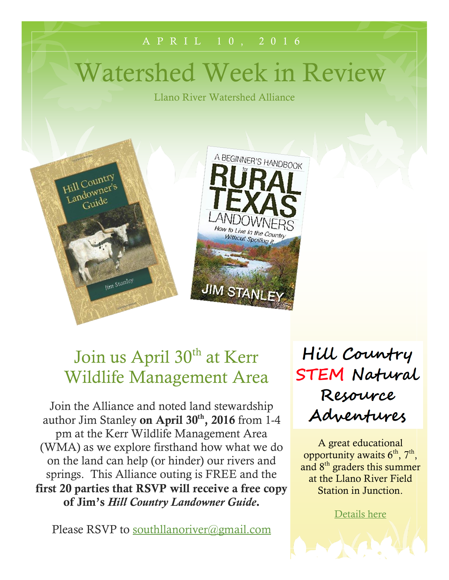# Watershed Week in Review

Llano River Watershed Alliance

A P R I L 1 0 , 2 0 1 6





## Join us April 30<sup>th</sup> at Kerr Wildlife Management Area

Join the Alliance and noted land stewardship author Jim Stanley **on April 30th, 2016** from 1-4 pm at the Kerr Wildlife Management Area (WMA) as we explore firsthand how what we do on the land can help (or hinder) our rivers and springs. This Alliance outing is FREE and the **first 20 parties that RSVP will receive a free copy of Jim's** *Hill Country Landowner Guide***.**

Please RSVP to [southllanoriver@gmail.com](mailto:southllanoriver@gmail.com)

Hill Country **STEM Natural** Resource Adventures

A great educational opportunity awaits  $6<sup>th</sup>$ ,  $7<sup>th</sup>$ , and 8th graders this summer at the Llano River Field Station in Junction.

[Details here](http://southllano.org/blog/wp-content/files/STEM%20Camp%20Registration%20Packet.pdf)